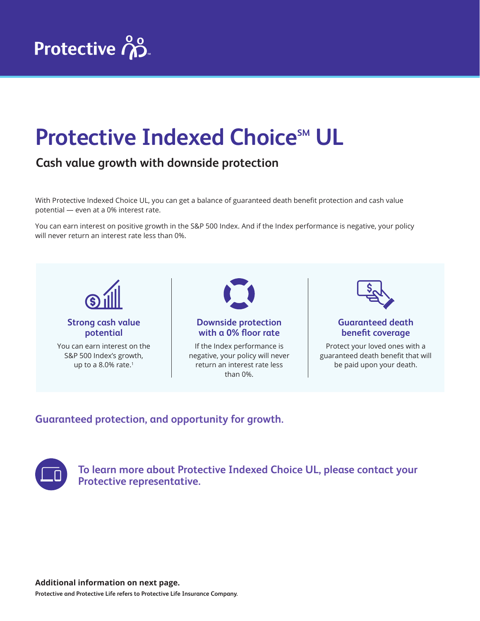## **Protective Indexed Choice<sup>SM</sup> UL**

## **Cash value growth with downside protection**

With Protective Indexed Choice UL, you can get a balance of guaranteed death benefit protection and cash value potential — even at a 0% interest rate.

You can earn interest on positive growth in the S&P 500 Index. And if the Index performance is negative, your policy will never return an interest rate less than 0%.



## **Guaranteed protection, and opportunity for growth.**



**To learn more about Protective Indexed Choice UL, please contact your Protective representative.**